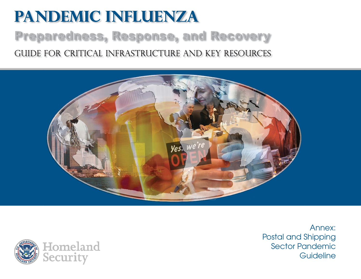# **Pandemic Influenza** Preparedness, Response, and Recovery Guide for critical infrastructure and key resources





Annex:Postal and Shipping Sector Pandemic **Guideline**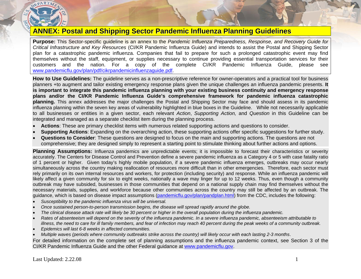

# **ANNEX: Postal and Shipping Sector Pandemic Influenza Planning Guidelines**

**Purpose:** This Sector-specific guideline is an annex to the *Pandemic Influenza Preparedness, Response, and Recovery Guide for Critical Infrastructure and Key Resources* (CI/KR Pandemic Influenza Guide) and intends to assist the Postal and Shipping Sector plan for a catastrophic pandemic influenza. Companies that fail to prepare for such a prolonged catastrophic event may find themselves without the staff, equipment, or supplies necessary to continue providing essential transportation services for their customers and the nation. For a copy of the complete CI/KR Pandemic Influenza Guide, please see [www.pandemicflu.gov/plan/pdf/cikrpandemicinfluenzaguide.pdf](http://www.pandemicflu.gov/plan/pdf/cikrpandemicinfluenzaguide.pdf).

**How to Use Guidelines:** The guideline serves as a non-prescriptive reference for owner-operators and a practical tool for business planners +to augment and tailor existing emergency response plans given the unique challenges an influenza pandemic presents. **It is important to integrate this pandemic influenza planning with your existing business continuity and emergency response plans and/or the CI/KR Pandemic Influenza Guide's comprehensive framework for pandemic influenza catastrophic planning.** This annex addresses the major challenges the Postal and Shipping Sector may face and should assess in its pandemic influenza planning within the seven key areas of vulnerability highlighted in blue boxes in the Guideline. While not necessarily applicable to all businesses or entities in a given sector, each relevant *Action*, *Supporting Action,* and *Question* in this Guideline can be integrated and managed as a separate checklist item during the planning process.

- •**Actions**: These are primary checklist items with numerous related supporting actions and questions to consider.
- •**Supporting Actions**: Expanding on the overarching action, these supporting actions offer specific suggestions for further study.
- • **Questions to Consider**: These questions are designed to focus on the main and supporting actions. The questions are not comprehensive; they are designed simply to represent a starting point to stimulate thinking about further actions and options.

**Planning Assumptions:** Influenza pandemics are unpredictable events; it is impossible to forecast their characteristics or severity accurately. The Centers for Disease Control and Prevention define a severe pandemic influenza as a Category 4 or 5 with case fatality ratio of 1 percent or higher. Given today's highly mobile population, if a severe pandemic influenza emerges, outbreaks may occur nearly simultaneously across the country making reallocation of resources more difficult than in other emergencies. Therefore, each sector must rely primarily on its own internal resources and workers, for protection (including security) and response. While an influenza pandemic will likely affect a given community for six to eight weeks, nationally a wave may linger for up to 12 weeks. Thus, even though a community outbreak may have subsided, businesses in those communities that depend on a national supply chain may find themselves without the necessary materials, supplies, and workforce because other communities across the country may still be affected by an outbreak. The guidance, which is based on disease impact assumptions ([pandemicflu.gov/plan/pandplan.html](http://pandemicflu.gov/plan/pandplan.html)) from the CDC, includes the following:

- •*Susceptibility to the pandemic influenza virus will be universal.*
- •*Once sustained person-to-person transmission begins, the disease will spread rapidly around the globe.*
- •*The clinical disease attack rate will likely be 30 percent or higher in the overall population during the influenza pandemic.*
- • *Rates of absenteeism will depend on the severity of the influenza pandemic. In a severe influenza pandemic, absenteeism attributable to illness, the need to care for ill family members, and fear of infection may reach 40 percent during the peak weeks of a community outbreak.*
- •*Epidemics will last 6-8 weeks in affected communities.*
- •*Multiple waves (periods where community outbreaks strike across the country) will likely occur with each lasting 2-3 months*.

For detailed information on the complete set of planning assumptions and the influenza pandemic context, see Section 3 of the CI/KR Pandemic Influenza Guide and the other Federal guidance at [www.pandemicflu.gov](http://www.pandemicflu.gov/).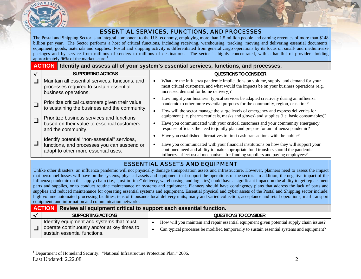

## ESSENTIAL SERVICES, FUNCTIONS, AND PROCESSES

The Postal and Shipping Sector is an integral component to the U.S. economy, employing more than 1.5 million people and earning revenues of more than \$148 billion per year. The Sector performs a host of critical functions, including receiving, warehousing, tracking, moving and delivering essential documents, equipment, goods, materials and supplies. Postal and shipping activity is differentiated from general cargo operations by its focus on small- and medium-size packages and by service from millions of senders to millions of destinations. The sector is highly concentrated, with a handful of providers holding approximately 96% of the market share.<sup>[1](#page-2-0)</sup>

| <b>ACTION</b>                                                                                                      | Identify and assess all of your system's essential services, functions, and processes.                                                                                                                                                                     |
|--------------------------------------------------------------------------------------------------------------------|------------------------------------------------------------------------------------------------------------------------------------------------------------------------------------------------------------------------------------------------------------|
| <b>SUPPORTING ACTIONS</b>                                                                                          | <b>QUESTIONS TO CONSIDER</b>                                                                                                                                                                                                                               |
| Maintain all essential services, functions, and<br>processes required to sustain essential<br>business operations. | What are the influenza pandemic implications on volume, supply, and demand for your<br>most critical customers, and what would the impacts be on your business operations (e.g.<br>increased demand for home delivery)?                                    |
| Prioritize critical customers given their value                                                                    | How might your business' typical services be adapted creatively during an influenza<br>pandemic to other more essential purposes for the community, region, or nation?                                                                                     |
| to sustaining the business and the community.<br>Prioritize business services and functions                        | How will the sector manage the surge levels of emergency and express deliveries for<br>equipment (i.e. pharmaceuticals, masks and gloves) and supplies (i.e. basic consumables)?                                                                           |
| based on their value to essential customers<br>and the community.                                                  | Have you communicated with your critical customers and your community emergency<br>response officials the need to jointly plan and prepare for an influenza pandemic?                                                                                      |
| Identify potential "non-essential" services,                                                                       | Have you established alternatives to limit cash transactions with the public?                                                                                                                                                                              |
| functions, and processes you can suspend or<br>adapt to other more essential uses.                                 | Have you communicated with your financial institutions on how they will support your<br>continued need and ability to make appropriate fund transfers should the pandemic<br>influenza affect usual mechanisms for funding suppliers and paying employees? |

## ESSENTIAL ASSETS AND EQUIPMENT

Unlike other disasters, an influenza pandemic will not physically damage transportation assets and infrastructure. However, planners need to assess the impact that personnel losses will have on the systems, physical assets and equipment that support the operations of the sector. In addition, the negative impact of the influenza pandemic on the supply chain (i.e., "just-in-time" delivery, warehousing, and logistics) could have a significant impact on the ability to get replacement parts and supplies, or to conduct routine maintenance on systems and equipment. Planners should have contingency plans that address the lack of parts and supplies and reduced maintenance for operating essential systems and equipment. Essential physical and cyber assets of the Postal and Shipping sector include: high volume automated processing facilities; tens of thousands local delivery units; many and varied collection, acceptance and retail operations; mail transport equipment; and information and communication networks.

| Review all equipment critical to support each essential function.<br><b>ACTION</b>                                      |                                                                                                                                                                                                     |
|-------------------------------------------------------------------------------------------------------------------------|-----------------------------------------------------------------------------------------------------------------------------------------------------------------------------------------------------|
| SUPPORTING ACTIONS                                                                                                      | <b>QUESTIONS TO CONSIDER</b>                                                                                                                                                                        |
| Identify equipment and systems that must<br>operate continuously and/or at key times to<br>sustain essential functions. | How will you maintain and repair essential equipment given potential supply chain issues?<br>$\bullet$<br>Can typical processes be modified temporarily to sustain essential systems and equipment? |

<span id="page-2-0"></span>Last Updated: 2.22.08 2 <sup>1</sup> Department of Homeland Security. "National Infrastructure Protection Plan," 2006.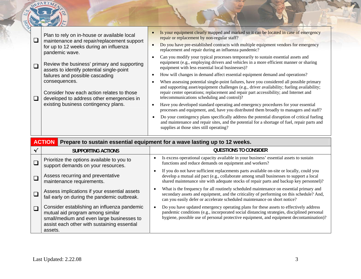| Plan to rely on in-house or available local<br>maintenance and repair/replacement support<br>for up to 12 weeks during an influenza<br>pandemic wave. | Is your equipment clearly mapped and marked so it can be located in case of emergency<br>repair or replacement by non-regular staff?<br>Do you have pre-established contracts with multiple equipment vendors for emergency<br>replacement and repair during an influenza pandemic?                                                                                        |
|-------------------------------------------------------------------------------------------------------------------------------------------------------|----------------------------------------------------------------------------------------------------------------------------------------------------------------------------------------------------------------------------------------------------------------------------------------------------------------------------------------------------------------------------|
| Review the business' primary and supporting<br>assets to identify potential single-point<br>failures and possible cascading                           | Can you modify your typical processes temporarily to sustain essential assets and<br>equipment (e.g., employing drivers and vehicles in a more efficient manner or sharing<br>equipment with less essential local businesses)?<br>How will changes in demand affect essential equipment demand and operations?                                                             |
| consequences.<br>Consider how each action relates to those<br>developed to address other emergencies in                                               | When assessing potential single-point failures, have you considered all possible primary<br>and supporting asset/equipment challenges (e.g., driver availability; fueling availability;<br>repair center operations; replacement and repair part accessibility; and Internet and<br>telecommunications scheduling and control)?                                            |
| existing business contingency plans.                                                                                                                  | Have you developed standard operating and emergency procedures for your essential<br>processes and equipment, and, have you distributed them broadly to managers and staff?<br>Do your contingency plans specifically address the potential disruption of critical fueling<br>and maintenance and repair sites, and the potential for a shortage of fuel, repair parts and |

|        | <b>ACTION</b>                                                                                                                                                                          | Prepare to sustain essential equipment for a wave lasting up to 12 weeks.                                                                                                                                                                                                      |
|--------|----------------------------------------------------------------------------------------------------------------------------------------------------------------------------------------|--------------------------------------------------------------------------------------------------------------------------------------------------------------------------------------------------------------------------------------------------------------------------------|
|        | <b>SUPPORTING ACTIONS</b>                                                                                                                                                              | <b>QUESTIONS TO CONSIDER</b>                                                                                                                                                                                                                                                   |
|        | Prioritize the options available to you to<br>support demands on your resources.                                                                                                       | Is excess operational capacity available in your business' essential assets to sustain<br>functions and reduce demands on equipment and workers?                                                                                                                               |
|        | Assess recurring and preventative<br>maintenance requirements.                                                                                                                         | If you do not have sufficient replacements parts available on-site or locally, could you<br>develop a mutual aid pact (e.g., collaborate among small businesses to support a local<br>shared maintenance site with adequate stocks of repair parts and backup key personnel)?  |
|        | Assess implications if your essential assets<br>fail early on during the pandemic outbreak.                                                                                            | What is the frequency for all routinely scheduled maintenance on essential primary and<br>secondary assets and equipment, and the criticality of performing on this schedule? And,<br>can you easily defer or accelerate scheduled maintenance on short notice?                |
| $\Box$ | Consider establishing an influenza pandemic<br>mutual aid program among similar<br>small/medium and even large businesses to<br>assist each other with sustaining essential<br>assets. | Do you have updated emergency operating plans for these assets to effectively address<br>pandemic conditions (e.g., incorporated social distancing strategies, disciplined personal<br>hygiene, possible use of personal protective equipment, and equipment decontamination)? |

DEPARTME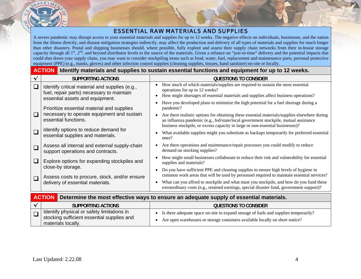

### ESSENTIAL RAW MATERIALS AND SUPPLIES

A severe pandemic may disrupt access to your essential materials and supplies for up to 12 weeks. The negative effects on individuals, businesses, and the nation from the illness directly, and disease mitigation strategies indirectly, may affect the production and delivery of all types of materials and supplies for much longer than other disasters. Postal and shipping businesses should, where possible, fully explore and assess their supply chain networks from their in-house storage capacity through all  $1^{\text{st}}$ ,  $2^{\text{nd}}$ , and beyond distributor levels to the source of the materials. Given a reliance on "just-in-time" delivery and the potential impacts that could shut down your supply chain, you may want to consider stockpiling items such as food, water, fuel, replacement and maintenance parts, personal protective equipment (PPE) (e.g., masks, gloves) and other infection control supplies (cleaning supplies, tissues, hand sanitizer) on-site or locally.

|              | <b>ACTION</b> Identify materials and supplies to sustain essential functions and equipment for up to 12 weeks.                 |                                                                                                                                                                                                                                                                                     |  |  |  |
|--------------|--------------------------------------------------------------------------------------------------------------------------------|-------------------------------------------------------------------------------------------------------------------------------------------------------------------------------------------------------------------------------------------------------------------------------------|--|--|--|
|              | <b>SUPPORTING ACTIONS</b>                                                                                                      | <b>QUESTIONS TO CONSIDER</b>                                                                                                                                                                                                                                                        |  |  |  |
| $\Box$       | Identify critical material and supplies (e.g.,<br>fuel, repair parts) necessary to maintain<br>essential assets and equipment. | How much of which materials/supplies are required to sustain the most essential<br>operations for up to 12 weeks?<br>How might shortages of essential materials and supplies affect business operations?                                                                            |  |  |  |
|              | Prioritize essential material and supplies                                                                                     | Have you developed plans to minimize the high potential for a fuel shortage during a<br>pandemic?                                                                                                                                                                                   |  |  |  |
| $\Box$       | necessary to operate equipment and sustain<br>essential functions.                                                             | Are there realistic options for obtaining these essential materials/supplies elsewhere during<br>$\bullet$<br>an influenza pandemic (e.g., fed/state/local government stockpile, mutual assistance<br>business stockpile, or excess capacity in large or non-essential businesses)? |  |  |  |
| $\Box$       | Identify options to reduce demand for<br>essential supplies and materials.                                                     | What available supplies might you substitute as backups temporarily for preferred essential<br>ones?                                                                                                                                                                                |  |  |  |
| $\Box$       | Assess all internal and external supply-chain<br>support operations and contracts.                                             | Are there operations and maintenance/repair processes you could modify to reduce<br>$\bullet$<br>demand on stocking supplies?                                                                                                                                                       |  |  |  |
| $\Box$       | Explore options for expanding stockpiles and<br>close-by storage.                                                              | How might small businesses collaborate to reduce their risk and vulnerability for essential<br>supplies and materials?                                                                                                                                                              |  |  |  |
| $\Box$       | Assess costs to procure, stock, and/or ensure                                                                                  | Do you have sufficient PPE and cleaning supplies to ensure high levels of hygiene in<br>$\bullet$<br>common work areas that will be used by personnel required to maintain essential services?                                                                                      |  |  |  |
|              | delivery of essential materials.                                                                                               | What can you afford to stockpile and what must you stockpile, and how do you fund these<br>extraordinary costs (e.g., retained earnings, special disaster fund, government support)?                                                                                                |  |  |  |
|              | <b>ACTION</b>                                                                                                                  | Determine the most effective ways to ensure an adequate supply of essential materials.                                                                                                                                                                                              |  |  |  |
| $\checkmark$ | <b>SUPPORTING ACTIONS</b>                                                                                                      | <b>QUESTIONS TO CONSIDER</b>                                                                                                                                                                                                                                                        |  |  |  |
| $\Box$       | Identify physical or safety limitations in<br>stocking sufficient essential supplies and<br>materials locally.                 | Is there adequate space on-site to expand storage of fuels and supplies temporarily?<br>Are open warehouses or storage containers available locally on short notice?<br>$\bullet$                                                                                                   |  |  |  |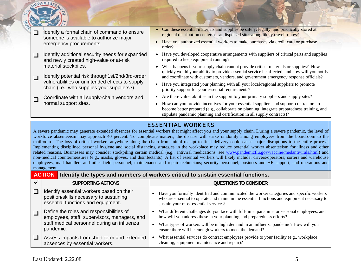

# stipulate pandemic planning and certification in all supply contracts)? ESSENTIAL WORKERS

A severe pandemic may generate extended absences for essential workers that might affect you and your supply chain. During a severe pandemic, the level of workforce absenteeism may approach 40 percent. To complicate matters, the disease will strike randomly among employees from the boardroom to the mailroom. The loss of critical workers anywhere along the chain from initial receipt to final delivery could cause major disruptions to the entire process. Implementing disciplined personal hygiene and social distancing strategies in the workplace may reduce potential worker absenteeism for illness and other related reasons. Businesses may consider stockpiling certain medical (e.g., antiviral medications, see [www.pandemicflu.gov/vaccine/medantivirals.html](http://www.pandemicflu.gov/vaccine/medantivirals.html)) and non-medical countermeasures (e.g., masks, gloves, and disinfectants). A list of essential workers will likely include: drivers/operators; sorters and warehouse employees, mail handlers and other field personnel; maintenance and repair technicians; security personnel; business and HR support; and operations and management.

#### **ACTIONIdentify the types and numbers of workers critical to sustain essential functions.**

| <b>SUPPORTING ACTIONS</b>                                                                                                  | <b>QUESTIONS TO CONSIDER</b>                                                                                                                                                                                                      |
|----------------------------------------------------------------------------------------------------------------------------|-----------------------------------------------------------------------------------------------------------------------------------------------------------------------------------------------------------------------------------|
| Identify essential workers based on their<br>position/skills necessary to sustaining<br>essential functions and equipment. | Have you formally identified and communicated the worker categories and specific workers<br>who are essential to operate and maintain the essential functions and equipment necessary to<br>sustain your most essential services? |
| Define the roles and responsibilities of<br>employees, staff, supervisors, managers, and                                   | What different challenges do you face with full-time, part-time, or seasonal employees, and<br>how will you address these in your planning and preparedness efforts?                                                              |
| staff medical personnel during an influenza<br>pandemic.                                                                   | What types of workers will be in high demand in an influenza pandemic? How will you<br>ensure there will be enough workers to meet the demand?                                                                                    |
| Assess impacts from short-term and extended<br>absences by essential workers.                                              | What essential services do contract employees provide to your facility (e.g., workplace<br>cleaning, equipment maintenance and repair)?                                                                                           |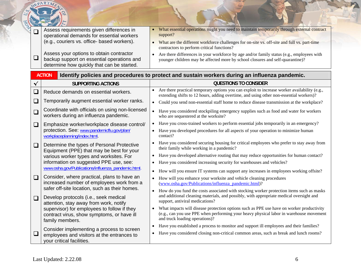| $\Box$<br>$\Box$ | Assess requirements given differences in<br>operational demands for essential workers<br>(e.g., couriers vs. office- based workers).<br>Assess your options to obtain contractor<br>backup support on essential operations and<br>determine how quickly that can be started. | What essential operations might you need to maintain temporarily through external contract<br>support?<br>What are the different workforce challenges for on-site vs. off-site and full vs. part-time<br>$\bullet$<br>contractors to perform critical functions?<br>Are there differences in your workforce by age and/or family status (e.g., employees with<br>$\bullet$<br>younger children may be affected more by school closures and self-quarantine)? |
|------------------|------------------------------------------------------------------------------------------------------------------------------------------------------------------------------------------------------------------------------------------------------------------------------|--------------------------------------------------------------------------------------------------------------------------------------------------------------------------------------------------------------------------------------------------------------------------------------------------------------------------------------------------------------------------------------------------------------------------------------------------------------|
|                  | <b>ACTION</b>                                                                                                                                                                                                                                                                | Identify policies and procedures to protect and sustain workers during an influenza pandemic.                                                                                                                                                                                                                                                                                                                                                                |
| ✔                | <b>SUPPORTING ACTIONS</b>                                                                                                                                                                                                                                                    | <b>QUESTIONS TO CONSIDER</b>                                                                                                                                                                                                                                                                                                                                                                                                                                 |
| $\Box$           | Reduce demands on essential workers.                                                                                                                                                                                                                                         | Are there practical temporary options you can exploit to increase worker availability (e.g.,<br>extending shifts to 12 hours, adding overtime, and using other non-essential workers)?                                                                                                                                                                                                                                                                       |
| $\Box$<br>$\Box$ | Temporarily augment essential worker ranks.<br>Coordinate with officials on using non-licensed<br>workers during an influenza pandemic.                                                                                                                                      | Could you send non-essential staff home to reduce disease transmission at the workplace?<br>$\bullet$<br>Have you considered stockpiling emergency supplies such as food and water for workers<br>$\bullet$<br>who are sequestered at the worksite?                                                                                                                                                                                                          |
| $\Box$           | Emphasize worker/workplace disease control/<br>protection. See: www.pandemicflu.gov/plan/<br>workplaceplanning/index.html.                                                                                                                                                   | Have you cross-trained workers to perform essential jobs temporarily in an emergency?<br>$\bullet$<br>Have you developed procedures for all aspects of your operation to minimize human<br>contact?                                                                                                                                                                                                                                                          |
| $\Box$           | Determine the types of Personal Protective<br>Equipment (PPE) that may be best for your<br>various worker types and worksites. For<br>information on suggested PPE use, see:<br>www.osha.gov/Publications/influenza_pandemic.html.                                           | Have you considered securing housing for critical employees who prefer to stay away from<br>their family while working in a pandemic?<br>Have you developed alternative routing that may reduce opportunities for human contact?<br>$\bullet$<br>Have you considered increasing security for warehouses and vehicles?<br>$\bullet$                                                                                                                           |
| $\Box$           | Consider, where practical, plans to have an<br>increased number of employees work from a<br>safer off-site location, such as their homes.                                                                                                                                    | How will you ensure IT systems can support any increases in employees working offsite?<br>$\bullet$<br>How will you enhance your worksite and vehicle cleaning procedures<br>(www.osha.gov/Publications/influenza_pandemic.html)?<br>How do you fund the costs associated with stocking worker protection items such as masks<br>$\bullet$                                                                                                                   |
| $\Box$           | Develop protocols (i.e., seek medical<br>attention, stay away from work, notify<br>supervisor) for employees to follow if they<br>contract virus, show symptoms, or have ill<br>family members.                                                                              | and additional cleaning materials, and possibly, with appropriate medical oversight and<br>support, antiviral medications?<br>What impacts will disease protection options such as PPE use have on worker productivity<br>(e.g., can you use PPE when performing your heavy physical labor in warehouse movement<br>and truck loading operations)?                                                                                                           |
| $\sqcup$         | Consider implementing a process to screen<br>employees and visitors at the entrances to<br>your critical facilities.                                                                                                                                                         | Have you established a process to monitor and support ill employees and their families?<br>$\bullet$<br>Have you considered closing non-critical common areas, such as break and lunch rooms?<br>$\bullet$                                                                                                                                                                                                                                                   |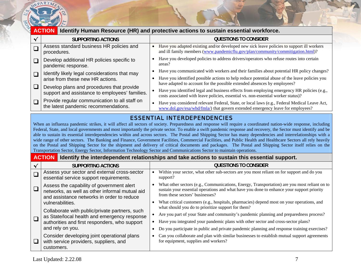

|              | <b>ACTION</b><br>Identify Human Resource (HR) and protective actions to sustain essential workforce.                                                                                                                                                                                                                                                                                                                                                                                                                                                                                                                                                                                                                                                                                                                                                                                                                                                      |                                                                                                                                                                                 |  |  |
|--------------|-----------------------------------------------------------------------------------------------------------------------------------------------------------------------------------------------------------------------------------------------------------------------------------------------------------------------------------------------------------------------------------------------------------------------------------------------------------------------------------------------------------------------------------------------------------------------------------------------------------------------------------------------------------------------------------------------------------------------------------------------------------------------------------------------------------------------------------------------------------------------------------------------------------------------------------------------------------|---------------------------------------------------------------------------------------------------------------------------------------------------------------------------------|--|--|
| $\checkmark$ | <b>SUPPORTING ACTIONS</b>                                                                                                                                                                                                                                                                                                                                                                                                                                                                                                                                                                                                                                                                                                                                                                                                                                                                                                                                 | <b>QUESTIONS TO CONSIDER</b>                                                                                                                                                    |  |  |
| $\Box$       | Assess standard business HR policies and<br>procedures.                                                                                                                                                                                                                                                                                                                                                                                                                                                                                                                                                                                                                                                                                                                                                                                                                                                                                                   | • Have you adapted existing and/or developed new sick leave policies to support ill workers<br>and ill family members (www.pandemicflu.gov/plan/community/commitigation.html)?  |  |  |
| $\Box$       | Develop additional HR policies specific to<br>pandemic response.                                                                                                                                                                                                                                                                                                                                                                                                                                                                                                                                                                                                                                                                                                                                                                                                                                                                                          | Have you developed policies to address drivers/operators who refuse routes into certain<br>areas?                                                                               |  |  |
| $\Box$       | Identify likely legal considerations that may                                                                                                                                                                                                                                                                                                                                                                                                                                                                                                                                                                                                                                                                                                                                                                                                                                                                                                             | Have you communicated with workers and their families about potential HR policy changes?<br>$\bullet$                                                                           |  |  |
|              | arise from these new HR actions.                                                                                                                                                                                                                                                                                                                                                                                                                                                                                                                                                                                                                                                                                                                                                                                                                                                                                                                          | Have you identified possible actions to help reduce potential abuse of the leave policies you<br>have adapted to account for the possible extended absences by employees?       |  |  |
| $\Box$       | Develop plans and procedures that provide<br>support and assistance to employees' families.                                                                                                                                                                                                                                                                                                                                                                                                                                                                                                                                                                                                                                                                                                                                                                                                                                                               | Have you identified legal and business effects from employing emergency HR policies (e.g.,<br>costs associated with leave policies, essential vs. non-essential worker status)? |  |  |
| $\Box$       | Provide regular communication to all staff on<br>the latest pandemic recommendations.                                                                                                                                                                                                                                                                                                                                                                                                                                                                                                                                                                                                                                                                                                                                                                                                                                                                     | Have you considered relevant Federal, State, or local laws (e.g., Federal Medical Leave Act,<br>www.dol.gov/esa/whd/fmla/) that govern extended emergency leave for employees?  |  |  |
|              |                                                                                                                                                                                                                                                                                                                                                                                                                                                                                                                                                                                                                                                                                                                                                                                                                                                                                                                                                           | <b>ESSENTIAL INTERDEPENDENCIES</b>                                                                                                                                              |  |  |
|              | When an influenza pandemic strikes, it will affect all sectors of society. Preparedness and response will require a coordinated nation-wide response, including<br>Federal, State, and local governments and most importantly the private sector. To enable a swift pandemic response and recovery, the Sector must identify and be<br>able to sustain its essential interdependencies within and across sectors. The Postal and Shipping Sector has many dependencies and interrelationships with a<br>wide range of other sectors. The Banking and Finance, Government Facilities, Commercial Facilities, and Public Health and Healthcare Sectors all rely heavily<br>on the Postal and Shipping Sector for the shipment and delivery of critical documents and packages. The Postal and Shipping Sector itself relies on the<br>Transportation Sector, Energy Sector, Information Technology Sector and Communications Sector to maintain operations. |                                                                                                                                                                                 |  |  |
|              | <b>ACTION</b>                                                                                                                                                                                                                                                                                                                                                                                                                                                                                                                                                                                                                                                                                                                                                                                                                                                                                                                                             | Identify the interdependent relationships and take actions to sustain this essential support.                                                                                   |  |  |
| $\checkmark$ | <b>SUPPORTING ACTIONS</b>                                                                                                                                                                                                                                                                                                                                                                                                                                                                                                                                                                                                                                                                                                                                                                                                                                                                                                                                 | <b>QUESTIONS TO CONSIDER</b>                                                                                                                                                    |  |  |
|              |                                                                                                                                                                                                                                                                                                                                                                                                                                                                                                                                                                                                                                                                                                                                                                                                                                                                                                                                                           | $TTT^*$ . 1 $T$                                                                                                                                                                 |  |  |

|        | <b>SUPPORTING ACTIONS</b>                                                                                                                 | <b>QUESTIONS TO CONSIDER</b>                                                                                                                                                                                                 |
|--------|-------------------------------------------------------------------------------------------------------------------------------------------|------------------------------------------------------------------------------------------------------------------------------------------------------------------------------------------------------------------------------|
|        | Assess your sector and external cross-sector<br>essential service support requirements.                                                   | Within your sector, what other sub-sectors are you most reliant on for support and do you<br>support?                                                                                                                        |
|        | Assess the capability of government alert<br>networks, as well as other informal mutual aid<br>and assistance networks in order to reduce | What other sectors (e.g., Communications, Energy, Transportation) are you most reliant on to<br>sustain your essential operations and what have you done to enhance your support priority<br>from these sectors' businesses? |
|        | vulnerabilities.                                                                                                                          | What critical customers (e.g., hospitals, pharmacies) depend most on your operations, and<br>what should you do to prioritize support for them?                                                                              |
|        | Collaborate with public/private partners, such<br>as State/local health and emergency response                                            | Are you part of your State and community's pandemic planning and preparedness process?                                                                                                                                       |
| $\Box$ | authorities and first responders, who support                                                                                             | Have you integrated your pandemic plans with other sector and cross-sector plans?                                                                                                                                            |
|        | and rely on you.                                                                                                                          | Do you participate in public and private pandemic planning and response training exercises?                                                                                                                                  |
| L D    | Consider developing joint operational plans<br>with service providers, suppliers, and<br>customers.                                       | Can you collaborate and plan with similar businesses to establish mutual support agreements<br>for equipment, supplies and workers?                                                                                          |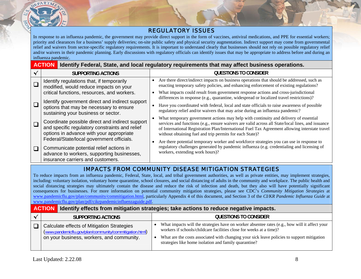

### REGULATORY ISSUES

In response to an influenza pandemic, the government may provide direct support in the form of vaccines, antiviral medications, and PPE for essential workers; priority and clearances for a business' supply deliveries; on-site public safety and physical security augmentation. Indirect support may come from governmental relief and waivers from sector-specific regulatory requirements. It is important to understand clearly that businesses should not rely on possible regulatory relief and/or waivers in their pandemic planning. Early discussions with regulatory officials can identify issues that may be appropriate to address before and during an influenza pandemic.

|   | <b>ACTION</b>                                                                                                                                                                              | Identify Federal, State, and local regulatory requirements that may affect business operations.                                                                                                                                                                                                                                                         |
|---|--------------------------------------------------------------------------------------------------------------------------------------------------------------------------------------------|---------------------------------------------------------------------------------------------------------------------------------------------------------------------------------------------------------------------------------------------------------------------------------------------------------------------------------------------------------|
| √ | <b>SUPPORTING ACTIONS</b>                                                                                                                                                                  | <b>QUESTIONS TO CONSIDER</b>                                                                                                                                                                                                                                                                                                                            |
|   | Identify regulations that, if temporarily<br>modified, would reduce impacts on your                                                                                                        | Are there direct/indirect impacts on business operations that should be addressed, such as<br>enacting temporary safety policies, and enhancing enforcement of existing regulations?                                                                                                                                                                    |
|   | critical functions, resources, and workers.<br>Identify government direct and indirect support                                                                                             | What impacts could result from government response actions and cross-jurisdictional<br>differences in response (e.g., quarantine, widespread or localized travel restrictions)?                                                                                                                                                                         |
|   | options that may be necessary to ensure<br>sustaining your business or sector.                                                                                                             | Have you coordinated with federal, local and state officials to raise awareness of possible<br>regulatory relief and/or waivers that may arise during an influenza pandemic?                                                                                                                                                                            |
|   | Coordinate possible direct and indirect support<br>and specific regulatory constraints and relief<br>options in advance with your appropriate<br>Federal/State/local government officials. | What temporary government actions may help with continuity and delivery of essential<br>services and functions (e.g., ensure waivers are valid across all State/local lines, and issuance<br>of International Registration Plan/International Fuel Tax Agreement allowing interstate travel<br>without obtaining fuel and trip permits for each State)? |
|   | Communicate potential relief actions in<br>advance to workers, supporting businesses,<br>insurance carriers and customers.                                                                 | Are there potential temporary worker and workforce strategies you can use in response to<br>regulatory challenges generated by pandemic influenza (e.g. credentialing and licensing of<br>workers, extending work hours)?                                                                                                                               |

# IMPACTS FROM COMMUNITY DISEASE MITIGATION STRATEGIES

To reduce impacts from an influenza pandemic, Federal, State, local, and tribal government authorities, as well as private entities, may implement strategies, including: voluntary isolation, voluntary home quarantine, school closures, and social distancing of adults in the community and workplace. The public health and social distancing strategies may ultimately contain the disease and reduce the risk of infection and death, but they also will have potentially significant consequences for businesses. For more information on potential community mitigation strategies, please see CDC's *Community Mitigation Strategies* at www.pan[demicflu.gov/plan/community/commitigation.html](http://www.pandemicflu.gov/plan/community/commitigation.html), particularly Appendix 4 of this document, and Section 3 of the *CI/KR Pandemic Influenza Guide* at www.pan[demicflu.gov/plan/pdf/cikrpandemicinfluenzaguide.pdf](http://www.pandemicflu.gov/plan/pdf/cikrpandemicinfluenzaguide.pdf).

#### **ACTIONIdentify effects from mitigation strategies; take actions to reduce negative impacts.**

| <b>SUPPORTING ACTIONS</b>                                                                                                                          | <b>QUESTIONS TO CONSIDER</b>                                                                                                                                                                                                                                                                                                |
|----------------------------------------------------------------------------------------------------------------------------------------------------|-----------------------------------------------------------------------------------------------------------------------------------------------------------------------------------------------------------------------------------------------------------------------------------------------------------------------------|
| Calculate effects of Mitigation Strategies<br>(www.pandemicflu.gov/plan/community/commitigation.html)<br>on your business, workers, and community. | What impacts will the strategies have on worker absentee rates (e.g., how will it affect your<br>workers if schools/childcare facilities close for weeks at a time)?<br>What are the costs associated with changing your sick leave policies to support mitigation<br>strategies like home isolation and family quarantine? |